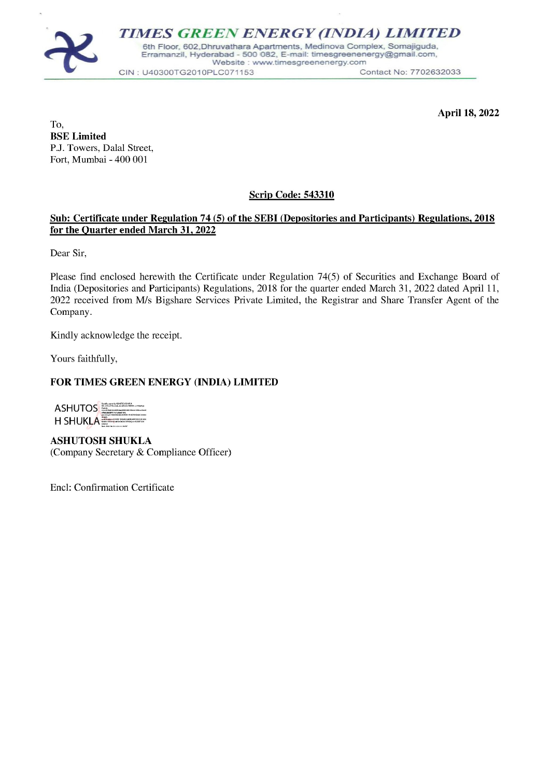

April 18, 2022

To, BSE Limited P.J. Towers, Dalal Street, Fort, Mumbai - 400 001

## Scrip Code: 543310

## Sub: Certificate under Regulation 74 (5) of the SEBI (Depositories and Participants) Regulations, 2018 for the Quarter ended March 31, 2022

Dear Sir,

Please find enclosed herewith the Certificate under Regulation 74(5) of Securities and Exchange Board of India (Depositories and Participants) Regulations, 2018 for the quarter ended March 31, 2022 dated April 11, 2022 received from M/s Bigshare Services Private Limited, the Registrar and Share Transfer Agent of the Company.

Kindly acknowledge the receipt.

Yours faithfully,

## FOR TIMES GREEN ENERGY (INDIA) LIMITED

| <b>ASHUTOS</b> | Draftahavanes be ASH4TOS 4 SHACLE<br>04. cvid. or hospital. postal Code v40001. si vidantina<br><b><i><u>batedy</u></i></b><br>23429-64126606664ed4b3b6f463rf16bcrlbco3<br>478428dd991netcdbell1424 |
|----------------|-----------------------------------------------------------------------------------------------------------------------------------------------------------------------------------------------------|
| H SHUKI A      | pscudonam=0348053454297600fr1912C99AD4233f43b4<br>49,3949<br>and Renber tritt (it is better is a first Food Hit (A))<br>Date: 2022 00:00 to 21:15 your DATE                                         |

ASHUTOSH SHUKLA (Company Secretary & Compliance Officer)

Encl: Confirmation Certificate